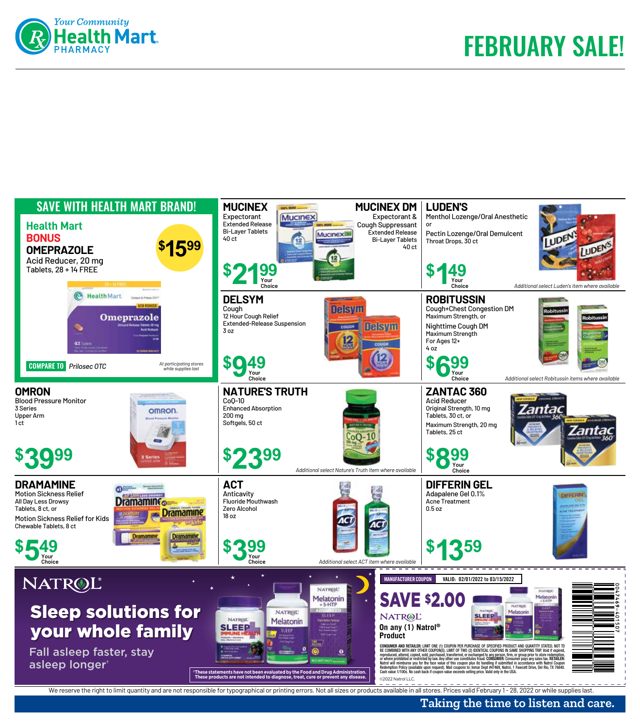



## **Taking the time to listen and care.**